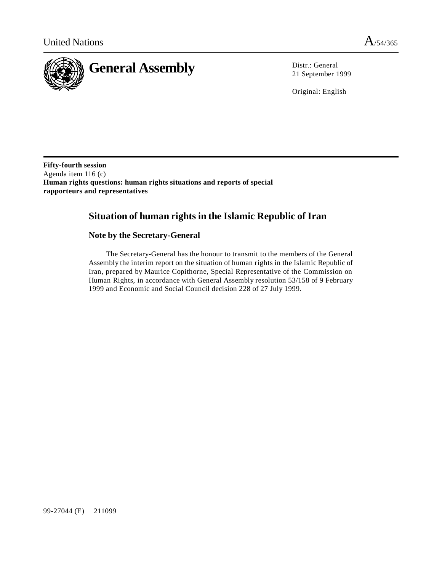

21 September 1999

Original: English

**Fifty-fourth session** Agenda item 116 (c) **Human rights questions: human rights situations and reports of special rapporteurs and representatives**

## **Situation of human rights in the Islamic Republic of Iran**

### **Note by the Secretary-General**

The Secretary-General has the honour to transmit to the members of the General Assembly the interim report on the situation of human rights in the Islamic Republic of Iran, prepared by Maurice Copithorne, Special Representative of the Commission on Human Rights, in accordance with General Assembly resolution 53/158 of 9 February 1999 and Economic and Social Council decision 228 of 27 July 1999.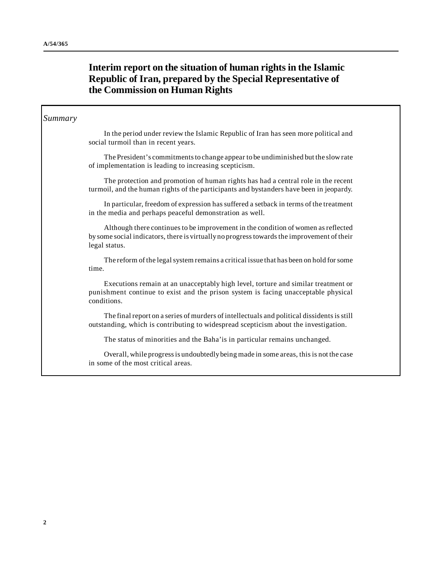## **Interim report on the situation of human rights in the Islamic Republic of Iran, prepared by the Special Representative of the Commission on Human Rights**

### *Summary*

In the period under review the Islamic Republic of Iran has seen more political and social turmoil than in recent years.

The President's commitments to change appear to be undiminished but the slow rate of implementation is leading to increasing scepticism.

The protection and promotion of human rights has had a central role in the recent turmoil, and the human rights of the participants and bystanders have been in jeopardy.

In particular, freedom of expression has suffered a setback in terms of the treatment in the media and perhaps peaceful demonstration as well.

Although there continues to be improvement in the condition of women as reflected by some social indicators, there is virtually no progress towards the improvement of their legal status.

The reform of the legal system remains a critical issue that has been on hold for some time.

Executions remain at an unacceptably high level, torture and similar treatment or punishment continue to exist and the prison system is facing unacceptable physical conditions.

The final report on a series of murders of intellectuals and political dissidents is still outstanding, which is contributing to widespread scepticism about the investigation.

The status of minorities and the Baha'is in particular remains unchanged.

Overall, while progress is undoubtedly being made in some areas, this is not the case in some of the most critical areas.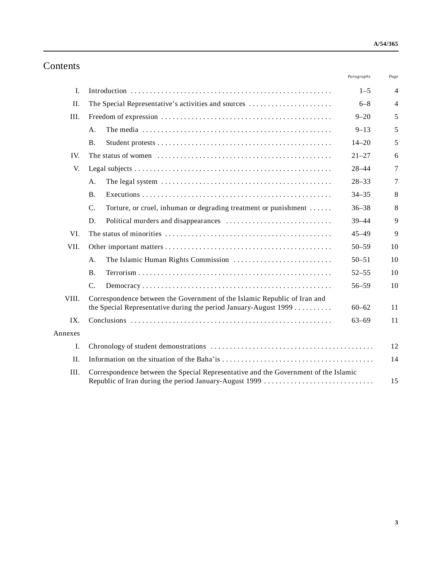# Contents

|         |                                                                                                                                                     | Paragraphs | Page           |
|---------|-----------------------------------------------------------------------------------------------------------------------------------------------------|------------|----------------|
| I.      |                                                                                                                                                     | $1 - 5$    | $\overline{4}$ |
| II.     | The Special Representative's activities and sources                                                                                                 | $6 - 8$    | $\overline{4}$ |
| III.    |                                                                                                                                                     | $9 - 20$   | 5              |
|         | А.<br>The media $\dots \dots \dots \dots \dots \dots \dots \dots \dots \dots \dots \dots \dots \dots \dots \dots \dots$                             | $9 - 13$   | 5              |
|         | <b>B.</b>                                                                                                                                           | $14 - 20$  | 5              |
| IV.     |                                                                                                                                                     | $21 - 27$  | 6              |
| V.      |                                                                                                                                                     | $28 - 44$  | 7              |
|         | A.                                                                                                                                                  | $28 - 33$  | 7              |
|         | <b>B.</b>                                                                                                                                           | $34 - 35$  | 8              |
|         | $C_{\cdot}$<br>Torture, or cruel, inhuman or degrading treatment or punishment                                                                      | $36 - 38$  | 8              |
|         | D.                                                                                                                                                  | $39 - 44$  | 9              |
| VI.     |                                                                                                                                                     | $45 - 49$  | 9              |
| VII.    |                                                                                                                                                     | $50 - 59$  | 10             |
|         | A.                                                                                                                                                  | $50 - 51$  | 10             |
|         | <b>B.</b>                                                                                                                                           | $52 - 55$  | 10             |
|         | $\mathbf{C}$ .                                                                                                                                      | $56 - 59$  | 10             |
| VIII.   | Correspondence between the Government of the Islamic Republic of Iran and<br>the Special Representative during the period January-August 1999       | $60 - 62$  | 11             |
| IX.     |                                                                                                                                                     | $63 - 69$  | 11             |
| Annexes |                                                                                                                                                     |            |                |
| Ι.      |                                                                                                                                                     |            | 12             |
| II.     |                                                                                                                                                     |            | 14             |
| III.    | Correspondence between the Special Representative and the Government of the Islamic<br>Republic of Iran during the period January-August 1999<br>15 |            |                |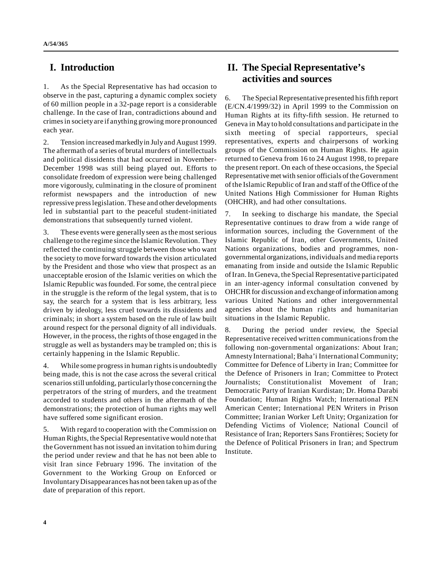## **I. Introduction**

1. As the Special Representative has had occasion to observe in the past, capturing a dynamic complex society of 60 million people in a 32-page report is a considerable challenge. In the case of Iran, contradictions abound and crimes in society are if anything growing more pronounced each year.

2. Tension increased markedly in July and August 1999. The aftermath of a series of brutal murders of intellectuals and political dissidents that had occurred in November-December 1998 was still being played out. Efforts to consolidate freedom of expression were being challenged more vigorously, culminating in the closure of prominent reformist newspapers and the introduction of new repressive press legislation. These and other developments led in substantial part to the peaceful student-initiated demonstrations that subsequently turned violent.

3. These events were generally seen as the most serious challenge to the regime since the Islamic Revolution. They reflected the continuing struggle between those who want the society to move forward towards the vision articulated by the President and those who view that prospect as an unacceptable erosion of the Islamic verities on which the Islamic Republic was founded. For some, the central piece in the struggle is the reform of the legal system, that is to say, the search for a system that is less arbitrary, less driven by ideology, less cruel towards its dissidents and criminals; in short a system based on the rule of law built around respect for the personal dignity of all individuals. However, in the process, the rights of those engaged in the struggle as well as bystanders may be trampled on; this is certainly happening in the Islamic Republic.

4. While some progress in human rights is undoubtedly being made, this is not the case across the several critical scenarios still unfolding, particularly those concerning the perpetrators of the string of murders, and the treatment accorded to students and others in the aftermath of the demonstrations; the protection of human rights may well have suffered some significant erosion.

5. With regard to cooperation with the Commission on Human Rights, the Special Representative would note that the Government has not issued an invitation to him during the period under review and that he has not been able to visit Iran since February 1996. The invitation of the Government to the Working Group on Enforced or Involuntary Disappearances has not been taken up as of the date of preparation of this report.

## **II. The Special Representative's activities and sources**

6. The Special Representative presented his fifth report (E/CN.4/1999/32) in April 1999 to the Commission on Human Rights at its fifty-fifth session. He returned to Geneva in May to hold consultations and participate in the sixth meeting of special rapporteurs, special representatives, experts and chairpersons of working groups of the Commission on Human Rights. He again returned to Geneva from 16 to 24 August 1998, to prepare the present report. On each of these occasions, the Special Representative met with senior officials of the Government of the Islamic Republic of Iran and staff of the Office of the United Nations High Commissioner for Human Rights (OHCHR), and had other consultations.

7. In seeking to discharge his mandate, the Special Representative continues to draw from a wide range of information sources, including the Government of the Islamic Republic of Iran, other Governments, United Nations organizations, bodies and programmes, nongovernmental organizations, individuals and media reports emanating from inside and outside the Islamic Republic of Iran. In Geneva, the Special Representative participated in an inter-agency informal consultation convened by OHCHR for discussion and exchange of information among various United Nations and other intergovernmental agencies about the human rights and humanitarian situations in the Islamic Republic.

8. During the period under review, the Special Representative received written communications from the following non-governmental organizations: About Iran; Amnesty International; Baha'i International Community; Committee for Defence of Liberty in Iran; Committee for the Defence of Prisoners in Iran; Committee to Protect Journalists; Constitutionalist Movement of Iran; Democratic Party of Iranian Kurdistan; Dr. Homa Darabi Foundation; Human Rights Watch; International PEN American Center; International PEN Writers in Prison Committee; Iranian Worker Left Unity; Organization for Defending Victims of Violence; National Council of Resistance of Iran; Reporters Sans Frontières; Society for the Defence of Political Prisoners in Iran; and Spectrum Institute.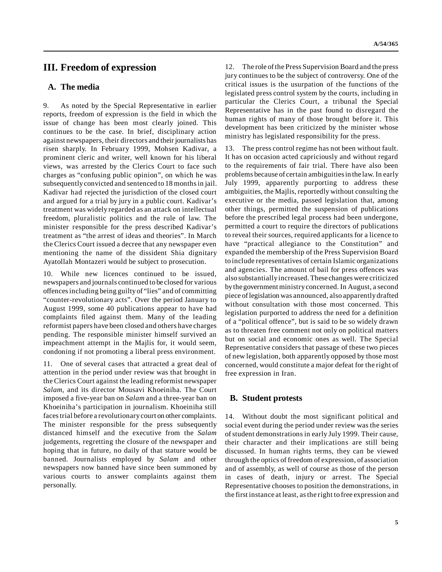## **III. Freedom of expression**

### **A. The media**

9. As noted by the Special Representative in earlier reports, freedom of expression is the field in which the issue of change has been most clearly joined. This continues to be the case. In brief, disciplinary action against newspapers, their directors and their journalists has risen sharply. In February 1999, Mohsen Kadivar, a prominent cleric and writer, well known for his liberal views, was arrested by the Clerics Court to face such charges as "confusing public opinion", on which he was subsequently convicted and sentenced to 18 months in jail. Kadivar had rejected the jurisdiction of the closed court and argued for a trial by jury in a public court. Kadivar's treatment was widely regarded as an attack on intellectual freedom, pluralistic politics and the rule of law. The minister responsible for the press described Kadivar's treatment as "the arrest of ideas and theories". In March the Clerics Court issued a decree that any newspaper even mentioning the name of the dissident Shia dignitary Ayatollah Montazeri would be subject to prosecution.

10. While new licences continued to be issued, newspapers and journals continued to be closed for various offences including being guilty of "lies" and of committing "counter-revolutionary acts". Over the period January to August 1999, some 40 publications appear to have had complaints filed against them. Many of the leading reformist papers have been closed and others have charges pending. The responsible minister himself survived an impeachment attempt in the Majlis for, it would seem, condoning if not promoting a liberal press environment.

11. One of several cases that attracted a great deal of attention in the period under review was that brought in the Clerics Court against the leading reformist newspaper *Salam*, and its director Mousavi Khoeiniha. The Court imposed a five-year ban on *Salam* and a three-year ban on Khoeiniha's participation in journalism. Khoeiniha still faces trial before a revolutionary court on other complaints. The minister responsible for the press subsequently distanced himself and the executive from the *Salam* judgements, regretting the closure of the newspaper and hoping that in future, no daily of that stature would be banned. Journalists employed by *Salam* and other newspapers now banned have since been summoned by various courts to answer complaints against them personally.

12. The role of the Press Supervision Board and the press jury continues to be the subject of controversy. One of the critical issues is the usurpation of the functions of the legislated press control system by the courts, including in particular the Clerics Court, a tribunal the Special Representative has in the past found to disregard the human rights of many of those brought before it. This development has been criticized by the minister whose ministry has legislated responsibility for the press.

13. The press control regime has not been without fault. It has on occasion acted capriciously and without regard to the requirements of fair trial. There have also been problems because of certain ambiguities in the law. In early July 1999, apparently purporting to address these ambiguities, the Majlis, reportedly without consulting the executive or the media, passed legislation that, among other things, permitted the suspension of publications before the prescribed legal process had been undergone, permitted a court to require the directors of publications to reveal their sources, required applicants for a licence to have "practical allegiance to the Constitution" and expanded the membership of the Press Supervision Board to include representatives of certain Islamic organizations and agencies. The amount of bail for press offences was also substantially increased. These changes were criticized by the government ministry concerned. In August, a second piece of legislation was announced, also apparently drafted without consultation with those most concerned. This legislation purported to address the need for a definition of a "political offence", but is said to be so widely drawn as to threaten free comment not only on political matters but on social and economic ones as well. The Special Representative considers that passage of these two pieces of new legislation, both apparently opposed by those most concerned, would constitute a major defeat for the right of free expression in Iran.

#### **B. Student protests**

14. Without doubt the most significant political and social event during the period under review was the series of student demonstrations in early July 1999. Their cause, their character and their implications are still being discussed. In human rights terms, they can be viewed through the optics of freedom of expression, of association and of assembly, as well of course as those of the person in cases of death, injury or arrest. The Special Representative chooses to position the demonstrations, in the first instance at least, as the right to free expression and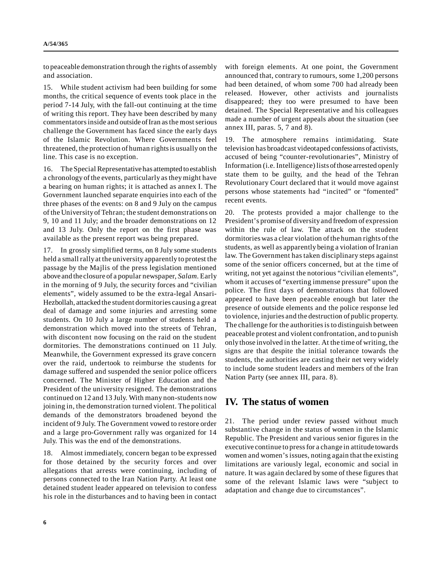to peaceable demonstration through the rights of assembly and association.

15. While student activism had been building for some months, the critical sequence of events took place in the period 7-14 July, with the fall-out continuing at the time of writing this report. They have been described by many commentators inside and outside of Iran as the most serious challenge the Government has faced since the early days of the Islamic Revolution. Where Governments feel threatened, the protection of human rights is usually on the line. This case is no exception.

16. The Special Representative has attempted to establish a chronology of the events, particularly as they might have a bearing on human rights; it is attached as annex I. The Government launched separate enquiries into each of the three phases of the events: on 8 and 9 July on the campus of the University of Tehran; the student demonstrations on 9, 10 and 11 July; and the broader demonstrations on 12 and 13 July. Only the report on the first phase was available as the present report was being prepared.

17. In grossly simplified terms, on 8 July some students held a small rally at the university apparently to protest the passage by the Majlis of the press legislation mentioned above and the closure of a popular newspaper, *Salam*. Early in the morning of 9 July, the security forces and "civilian elements", widely assumed to be the extra-legal Ansari-Hezbollah, attacked the student dormitories causing a great deal of damage and some injuries and arresting some students. On 10 July a large number of students held a demonstration which moved into the streets of Tehran, with discontent now focusing on the raid on the student dormitories. The demonstrations continued on 11 July. Meanwhile, the Government expressed its grave concern over the raid, undertook to reimburse the students for damage suffered and suspended the senior police officers concerned. The Minister of Higher Education and the President of the university resigned. The demonstrations continued on 12 and 13 July. With many non-students now joining in, the demonstration turned violent. The political demands of the demonstrators broadened beyond the incident of 9 July. The Government vowed to restore order and a large pro-Government rally was organized for 14 July. This was the end of the demonstrations.

18. Almost immediately, concern began to be expressed for those detained by the security forces and over allegations that arrests were continuing, including of persons connected to the Iran Nation Party. At least one detained student leader appeared on television to confess his role in the disturbances and to having been in contact

with foreign elements. At one point, the Government announced that, contrary to rumours, some 1,200 persons had been detained, of whom some 700 had already been released. However, other activists and journalists disappeared; they too were presumed to have been detained. The Special Representative and his colleagues made a number of urgent appeals about the situation (see annex III, paras. 5, 7 and 8).

19. The atmosphere remains intimidating. State television has broadcast videotaped confessions of activists, accused of being "counter-revolutionaries", Ministry of Information (i.e. Intelligence) lists of those arrested openly state them to be guilty, and the head of the Tehran Revolutionary Court declared that it would move against persons whose statements had "incited" or "fomented" recent events.

20. The protests provided a major challenge to the President's promise of diversity and freedom of expression within the rule of law. The attack on the student dormitories was a clear violation of the human rights of the students, as well as apparently being a violation of Iranian law. The Government has taken disciplinary steps against some of the senior officers concerned, but at the time of writing, not yet against the notorious "civilian elements", whom it accuses of "exerting immense pressure" upon the police. The first days of demonstrations that followed appeared to have been peaceable enough but later the presence of outside elements and the police response led to violence, injuries and the destruction of public property. The challenge for the authorities is to distinguish between peaceable protest and violent confrontation, and to punish only those involved in the latter. At the time of writing, the signs are that despite the initial tolerance towards the students, the authorities are casting their net very widely to include some student leaders and members of the Iran Nation Party (see annex III, para. 8).

## **IV. The status of women**

21. The period under review passed without much substantive change in the status of women in the Islamic Republic. The President and various senior figures in the executive continue to press for a change in attitude towards women and women's issues, noting again that the existing limitations are variously legal, economic and social in nature. It was again declared by some of these figures that some of the relevant Islamic laws were "subject to adaptation and change due to circumstances".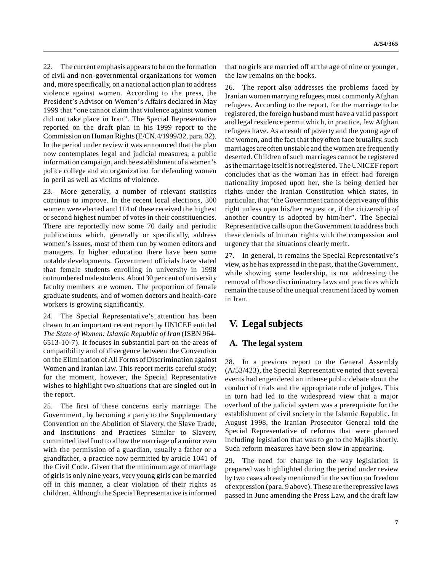22. The current emphasis appears to be on the formation of civil and non-governmental organizations for women and, more specifically, on a national action plan to address violence against women. According to the press, the President's Advisor on Women's Affairs declared in May 1999 that "one cannot claim that violence against women did not take place in Iran". The Special Representative reported on the draft plan in his 1999 report to the Commission on Human Rights (E/CN.4/1999/32, para. 32). In the period under review it was announced that the plan now contemplates legal and judicial measures, a public information campaign, and the establishment of a women's police college and an organization for defending women in peril as well as victims of violence.

23. More generally, a number of relevant statistics continue to improve. In the recent local elections, 300 women were elected and 114 of these received the highest or second highest number of votes in their constituencies. There are reportedly now some 70 daily and periodic publications which, generally or specifically, address women's issues, most of them run by women editors and managers. In higher education there have been some notable developments. Government officials have stated that female students enrolling in university in 1998 outnumbered male students. About 30 per cent of university faculty members are women. The proportion of female graduate students, and of women doctors and health-care workers is growing significantly.

24. The Special Representative's attention has been drawn to an important recent report by UNICEF entitled *The State of Women: Islamic Republic of Iran* (ISBN 964- 6513-10-7). It focuses in substantial part on the areas of compatibility and of divergence between the Convention on the Elimination of All Forms of Discrimination against Women and Iranian law. This report merits careful study; for the moment, however, the Special Representative wishes to highlight two situations that are singled out in the report.

25. The first of these concerns early marriage. The Government, by becoming a party to the Supplementary Convention on the Abolition of Slavery, the Slave Trade, and Institutions and Practices Similar to Slavery, committed itself not to allow the marriage of a minor even with the permission of a guardian, usually a father or a grandfather, a practice now permitted by article 1041 of the Civil Code. Given that the minimum age of marriage of girls is only nine years, very young girls can be married off in this manner, a clear violation of their rights as children. Although the Special Representative is informed that no girls are married off at the age of nine or younger, the law remains on the books.

26. The report also addresses the problems faced by Iranian women marrying refugees, most commonly Afghan refugees. According to the report, for the marriage to be registered, the foreign husband must have a valid passport and legal residence permit which, in practice, few Afghan refugees have. As a result of poverty and the young age of the women, and the fact that they often face brutality, such marriages are often unstable and the women are frequently deserted. Children of such marriages cannot be registered as the marriage itself is not registered. The UNICEF report concludes that as the woman has in effect had foreign nationality imposed upon her, she is being denied her rights under the Iranian Constitution which states, in particular, that "the Government cannot deprive any of this right unless upon his/her request or, if the citizenship of another country is adopted by him/her". The Special Representative calls upon the Government to address both these denials of human rights with the compassion and urgency that the situations clearly merit.

27. In general, it remains the Special Representative's view, as he has expressed in the past, that the Government, while showing some leadership, is not addressing the removal of those discriminatory laws and practices which remain the cause of the unequal treatment faced by women in Iran.

## **V. Legal subjects**

### **A. The legal system**

28. In a previous report to the General Assembly (A/53/423), the Special Representative noted that several events had engendered an intense public debate about the conduct of trials and the appropriate role of judges. This in turn had led to the widespread view that a major overhaul of the judicial system was a prerequisite for the establishment of civil society in the Islamic Republic. In August 1998, the Iranian Prosecutor General told the Special Representative of reforms that were planned including legislation that was to go to the Majlis shortly. Such reform measures have been slow in appearing.

29. The need for change in the way legislation is prepared was highlighted during the period under review by two cases already mentioned in the section on freedom of expression (para. 9 above). These are the repressive laws passed in June amending the Press Law, and the draft law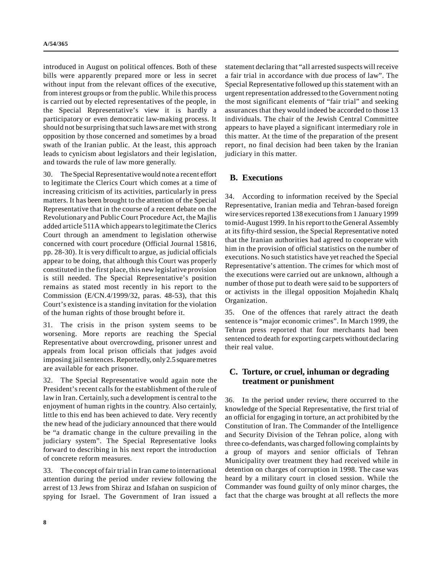introduced in August on political offences. Both of these bills were apparently prepared more or less in secret without input from the relevant offices of the executive, from interest groups or from the public. While this process is carried out by elected representatives of the people, in the Special Representative's view it is hardly a participatory or even democratic law-making process. It should not be surprising that such laws are met with strong opposition by those concerned and sometimes by a broad swath of the Iranian public. At the least, this approach leads to cynicism about legislators and their legislation, and towards the rule of law more generally.

30. The Special Representative would note a recent effort to legitimate the Clerics Court which comes at a time of increasing criticism of its activities, particularly in press matters. It has been brought to the attention of the Special Representative that in the course of a recent debate on the Revolutionary and Public Court Procedure Act, the Majlis added article 511A which appears to legitimate the Clerics Court through an amendment to legislation otherwise concerned with court procedure (Official Journal 15816, pp. 28-30). It is very difficult to argue, as judicial officials appear to be doing, that although this Court was properly constituted in the first place, this new legislative provision is still needed. The Special Representative's position remains as stated most recently in his report to the Commission (E/CN.4/1999/32, paras. 48-53), that this Court's existence is a standing invitation for the violation of the human rights of those brought before it.

31. The crisis in the prison system seems to be worsening. More reports are reaching the Special Representative about overcrowding, prisoner unrest and appeals from local prison officials that judges avoid imposing jail sentences. Reportedly, only 2.5 square metres are available for each prisoner.

32. The Special Representative would again note the President's recent calls for the establishment of the rule of law in Iran. Certainly, such a development is central to the enjoyment of human rights in the country. Also certainly, little to this end has been achieved to date. Very recently the new head of the judiciary announced that there would be "a dramatic change in the culture prevailing in the judiciary system". The Special Representative looks forward to describing in his next report the introduction of concrete reform measures.

33. The concept of fair trial in Iran came to international attention during the period under review following the arrest of 13 Jews from Shiraz and Isfahan on suspicion of spying for Israel. The Government of Iran issued a statement declaring that "all arrested suspects will receive a fair trial in accordance with due process of law". The Special Representative followed up this statement with an urgent representation addressed to the Government noting the most significant elements of "fair trial" and seeking assurances that they would indeed be accorded to those 13 individuals. The chair of the Jewish Central Committee appears to have played a significant intermediary role in this matter. At the time of the preparation of the present report, no final decision had been taken by the Iranian judiciary in this matter.

### **B. Executions**

34. According to information received by the Special Representative, Iranian media and Tehran-based foreign wire services reported 138 executions from 1 January 1999 to mid-August 1999. In his report to the General Assembly at its fifty-third session, the Special Representative noted that the Iranian authorities had agreed to cooperate with him in the provision of official statistics on the number of executions. No such statistics have yet reached the Special Representative's attention. The crimes for which most of the executions were carried out are unknown, although a number of those put to death were said to be supporters of or activists in the illegal opposition Mojahedin Khalq Organization.

35. One of the offences that rarely attract the death sentence is "major economic crimes". In March 1999, the Tehran press reported that four merchants had been sentenced to death for exporting carpets without declaring their real value.

### **C. Torture, or cruel, inhuman or degrading treatment or punishment**

36. In the period under review, there occurred to the knowledge of the Special Representative, the first trial of an official for engaging in torture, an act prohibited by the Constitution of Iran. The Commander of the Intelligence and Security Division of the Tehran police, along with three co-defendants, was charged following complaints by a group of mayors and senior officials of Tehran Municipality over treatment they had received while in detention on charges of corruption in 1998. The case was heard by a military court in closed session. While the Commander was found guilty of only minor charges, the fact that the charge was brought at all reflects the more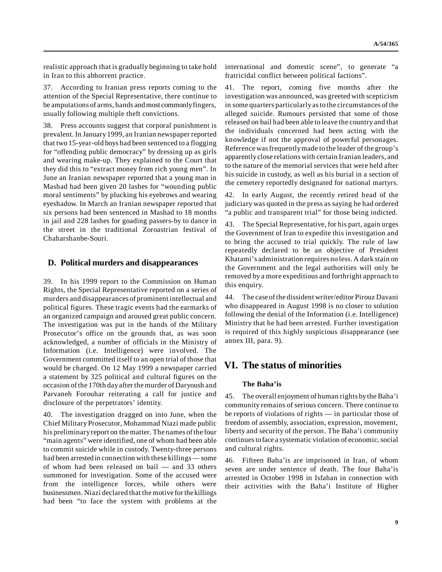realistic approach that is gradually beginning to take hold in Iran to this abhorrent practice.

37. According to Iranian press reports coming to the attention of the Special Representative, there continue to be amputations of arms, hands and most commonly fingers, usually following multiple theft convictions.

38. Press accounts suggest that corporal punishment is prevalent. In January 1999, an Iranian newspaper reported that two 15-year-old boys had been sentenced to a flogging for "offending public democracy" by dressing up as girls and wearing make-up. They explained to the Court that they did this to "extract money from rich young men". In June an Iranian newspaper reported that a young man in Mashad had been given 20 lashes for "wounding public moral sentiments" by plucking his eyebrows and wearing eyeshadow. In March an Iranian newspaper reported that six persons had been sentenced in Mashad to 18 months in jail and 228 lashes for goading passers-by to dance in the street in the traditional Zoroastrian festival of Chaharshanbe-Souri.

#### **D. Political murders and disappearances**

39. In his 1999 report to the Commission on Human Rights, the Special Representative reported on a series of murders and disappearances of prominent intellectual and political figures. These tragic events had the earmarks of an organized campaign and aroused great public concern. The investigation was put in the hands of the Military Prosecutor's office on the grounds that, as was soon acknowledged, a number of officials in the Ministry of Information (i.e. Intelligence) were involved. The Government committed itself to an open trial of those that would be charged. On 12 May 1999 a newspaper carried a statement by 325 political and cultural figures on the occasion of the 170th day after the murder of Daryoush and Parvaneh Forouhar reiterating a call for justice and disclosure of the perpetrators' identity.

40. The investigation dragged on into June, when the Chief Military Prosecutor, Mohammad Niazi made public his preliminary report on the matter. The names of the four "main agents" were identified, one of whom had been able to commit suicide while in custody. Twenty-three persons had been arrested in connection with these killings — some of whom had been released on bail — and 33 others summoned for investigation. Some of the accused were from the intelligence forces, while others were businessmen. Niazi declared that the motive for the killings had been "to face the system with problems at the

international and domestic scene", to generate "a fratricidal conflict between political factions".

41. The report, coming five months after the investigation was announced, was greeted with scepticism in some quarters particularly as to the circumstances of the alleged suicide. Rumours persisted that some of those released on bail had been able to leave the country and that the individuals concerned had been acting with the knowledge if not the approval of powerful personages. Reference was frequently made to the leader of the group's apparently close relations with certain Iranian leaders, and to the nature of the memorial services that were held after his suicide in custody, as well as his burial in a section of the cemetery reportedly designated for national martyrs.

42. In early August, the recently retired head of the judiciary was quoted in the press as saying he had ordered "a public and transparent trial" for those being indicted.

43. The Special Representative, for his part, again urges the Government of Iran to expedite this investigation and to bring the accused to trial quickly. The rule of law repeatedly declared to be an objective of President Khatami's administration requires no less. A dark stain on the Government and the legal authorities will only be removed by a more expeditious and forthright approach to this enquiry.

44. The case of the dissident writer/editor Pirouz Davani who disappeared in August 1998 is no closer to solution following the denial of the Information (i.e. Intelligence) Ministry that he had been arrested. Further investigation is required of this highly suspicious disappearance (see annex III, para. 9).

## **VI. The status of minorities**

#### **The Baha'is**

45. The overall enjoyment of human rights by the Baha'i community remains of serious concern. There continue to be reports of violations of rights — in particular those of freedom of assembly, association, expression, movement, liberty and security of the person. The Baha'i community continues to face a systematic violation of economic, social and cultural rights.

46. Fifteen Baha'is are imprisoned in Iran, of whom seven are under sentence of death. The four Baha'is arrested in October 1998 in Isfahan in connection with their activities with the Baha'i Institute of Higher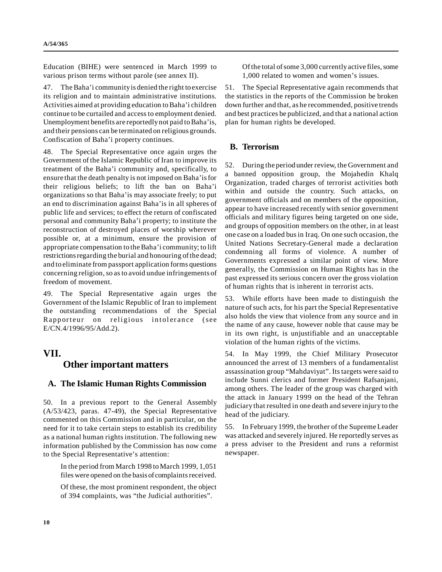Education (BIHE) were sentenced in March 1999 to various prison terms without parole (see annex II).

47. The Baha'i community is denied the right to exercise its religion and to maintain administrative institutions. Activities aimed at providing education to Baha'i children continue to be curtailed and access to employment denied. Unemployment benefits are reportedly not paid to Baha'is, and their pensions can be terminated on religious grounds. Confiscation of Baha'i property continues.

48. The Special Representative once again urges the Government of the Islamic Republic of Iran to improve its treatment of the Baha'i community and, specifically, to ensure that the death penalty is not imposed on Baha'is for their religious beliefs; to lift the ban on Baha'i organizations so that Baha'is may associate freely; to put an end to discrimination against Baha'is in all spheres of public life and services; to effect the return of confiscated personal and community Baha'i property; to institute the reconstruction of destroyed places of worship wherever possible or, at a minimum, ensure the provision of appropriate compensation to the Baha'i community; to lift restrictions regarding the burial and honouring of the dead; and to eliminate from passport application forms questions concerning religion, so as to avoid undue infringements of freedom of movement.

49. The Special Representative again urges the Government of the Islamic Republic of Iran to implement the outstanding recommendations of the Special Rapporteur on religious intolerance (see E/CN.4/1996/95/Add.2).

### **VII.**

### **Other important matters**

### **A. The Islamic Human Rights Commission**

50. In a previous report to the General Assembly (A/53/423, paras. 47-49), the Special Representative commented on this Commission and in particular, on the need for it to take certain steps to establish its credibility as a national human rights institution. The following new information published by the Commission has now come to the Special Representative's attention:

In the period from March 1998 to March 1999, 1,051 files were opened on the basis of complaints received.

Of these, the most prominent respondent, the object of 394 complaints, was "the Judicial authorities".

Of the total of some 3,000 currently active files, some 1,000 related to women and women's issues.

51. The Special Representative again recommends that the statistics in the reports of the Commission be broken down further and that, as he recommended, positive trends and best practices be publicized, and that a national action plan for human rights be developed.

### **B. Terrorism**

52. During the period under review, the Government and a banned opposition group, the Mojahedin Khalq Organization, traded charges of terrorist activities both within and outside the country. Such attacks, on government officials and on members of the opposition, appear to have increased recently with senior government officials and military figures being targeted on one side, and groups of opposition members on the other, in at least one case on a loaded bus in Iraq. On one such occasion, the United Nations Secretary-General made a declaration condemning all forms of violence. A number of Governments expressed a similar point of view. More generally, the Commission on Human Rights has in the past expressed its serious concern over the gross violation of human rights that is inherent in terrorist acts.

53. While efforts have been made to distinguish the nature of such acts, for his part the Special Representative also holds the view that violence from any source and in the name of any cause, however noble that cause may be in its own right, is unjustifiable and an unacceptable violation of the human rights of the victims.

54. In May 1999, the Chief Military Prosecutor announced the arrest of 13 members of a fundamentalist assassination group "Mahdaviyat". Its targets were said to include Sunni clerics and former President Rafsanjani, among others. The leader of the group was charged with the attack in January 1999 on the head of the Tehran judiciary that resulted in one death and severe injury to the head of the judiciary.

55. In February 1999, the brother of the Supreme Leader was attacked and severely injured. He reportedly serves as a press adviser to the President and runs a reformist newspaper.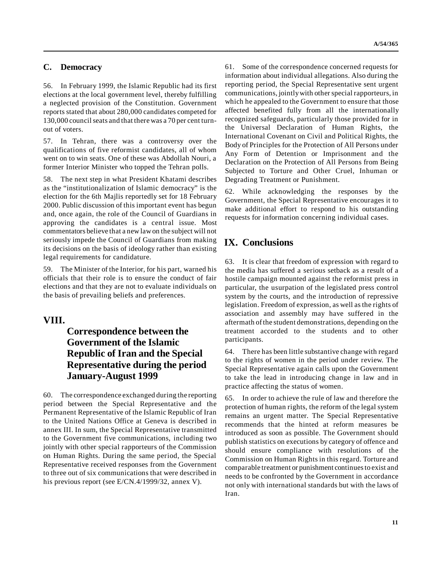### **C. Democracy**

56. In February 1999, the Islamic Republic had its first elections at the local government level, thereby fulfilling a neglected provision of the Constitution. Government reports stated that about 280,000 candidates competed for 130,000 council seats and that there was a 70 per cent turnout of voters.

57. In Tehran, there was a controversy over the qualifications of five reformist candidates, all of whom went on to win seats. One of these was Abdollah Nouri, a former Interior Minister who topped the Tehran polls.

58. The next step in what President Khatami describes as the "institutionalization of Islamic democracy" is the election for the 6th Majlis reportedly set for 18 February 2000. Public discussion of this important event has begun and, once again, the role of the Council of Guardians in approving the candidates is a central issue. Most commentators believe that a new law on the subject will not seriously impede the Council of Guardians from making its decisions on the basis of ideology rather than existing legal requirements for candidature.

59. The Minister of the Interior, for his part, warned his officials that their role is to ensure the conduct of fair elections and that they are not to evaluate individuals on the basis of prevailing beliefs and preferences.

## **VIII.**

## **Correspondence between the Government of the Islamic Republic of Iran and the Special Representative during the period January-August 1999**

60. The correspondence exchanged during the reporting period between the Special Representative and the Permanent Representative of the Islamic Republic of Iran to the United Nations Office at Geneva is described in annex III. In sum, the Special Representative transmitted to the Government five communications, including two jointly with other special rapporteurs of the Commission on Human Rights. During the same period, the Special Representative received responses from the Government to three out of six communications that were described in his previous report (see E/CN.4/1999/32, annex V).

61. Some of the correspondence concerned requests for information about individual allegations. Also during the reporting period, the Special Representative sent urgent communications, jointly with other special rapporteurs, in which he appealed to the Government to ensure that those affected benefited fully from all the internationally recognized safeguards, particularly those provided for in the Universal Declaration of Human Rights, the International Covenant on Civil and Political Rights, the Body of Principles for the Protection of All Persons under Any Form of Detention or Imprisonment and the Declaration on the Protection of All Persons from Being Subjected to Torture and Other Cruel, Inhuman or Degrading Treatment or Punishment.

62. While acknowledging the responses by the Government, the Special Representative encourages it to make additional effort to respond to his outstanding requests for information concerning individual cases.

## **IX. Conclusions**

63. It is clear that freedom of expression with regard to the media has suffered a serious setback as a result of a hostile campaign mounted against the reformist press in particular, the usurpation of the legislated press control system by the courts, and the introduction of repressive legislation. Freedom of expression, as well as the rights of association and assembly may have suffered in the aftermath of the student demonstrations, depending on the treatment accorded to the students and to other participants.

64. There has been little substantive change with regard to the rights of women in the period under review. The Special Representative again calls upon the Government to take the lead in introducing change in law and in practice affecting the status of women.

65. In order to achieve the rule of law and therefore the protection of human rights, the reform of the legal system remains an urgent matter. The Special Representative recommends that the hinted at reform measures be introduced as soon as possible. The Government should publish statistics on executions by category of offence and should ensure compliance with resolutions of the Commission on Human Rights in this regard. Torture and comparable treatment or punishment continues to exist and needs to be confronted by the Government in accordance not only with international standards but with the laws of Iran.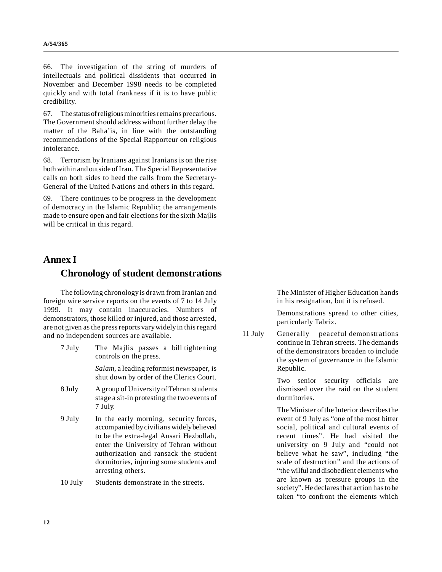66. The investigation of the string of murders of intellectuals and political dissidents that occurred in November and December 1998 needs to be completed quickly and with total frankness if it is to have public credibility.

67. The status of religious minorities remains precarious. The Government should address without further delay the matter of the Baha'is, in line with the outstanding recommendations of the Special Rapporteur on religious intolerance.

68. Terrorism by Iranians against Iranians is on the rise both within and outside of Iran. The Special Representative calls on both sides to heed the calls from the Secretary-General of the United Nations and others in this regard.

69. There continues to be progress in the development of democracy in the Islamic Republic; the arrangements made to ensure open and fair elections for the sixth Majlis will be critical in this regard.

## **Annex I**

## **Chronology of student demonstrations**

The following chronology is drawn from Iranian and foreign wire service reports on the events of 7 to 14 July 1999. It may contain inaccuracies. Numbers of demonstrators, those killed or injured, and those arrested, are not given as the press reports vary widely in this regard and no independent sources are available.

- 7 July The Majlis passes a bill tightening controls on the press. *Salam*, a leading reformist newspaper, is shut down by order of the Clerics Court. 8 July A group of University of Tehran students stage a sit-in protesting the two events of 7 July.
- 9 July In the early morning, security forces, accompanied by civilians widely believed to be the extra-legal Ansari Hezbollah, enter the University of Tehran without authorization and ransack the student dormitories, injuring some students and arresting others.
- 10 July Students demonstrate in the streets.

The Minister of Higher Education hands in his resignation, but it is refused.

Demonstrations spread to other cities, particularly Tabriz.

11 July Generally peaceful demonstrations continue in Tehran streets. The demands of the demonstrators broaden to include the system of governance in the Islamic Republic.

> Two senior security officials are dismissed over the raid on the student dormitories.

> The Minister of the Interior describes the event of 9 July as "one of the most bitter social, political and cultural events of recent times". He had visited the university on 9 July and "could not believe what he saw", including "the scale of destruction" and the actions of "the wilful and disobedient elements who are known as pressure groups in the society". He declares that action has to be taken "to confront the elements which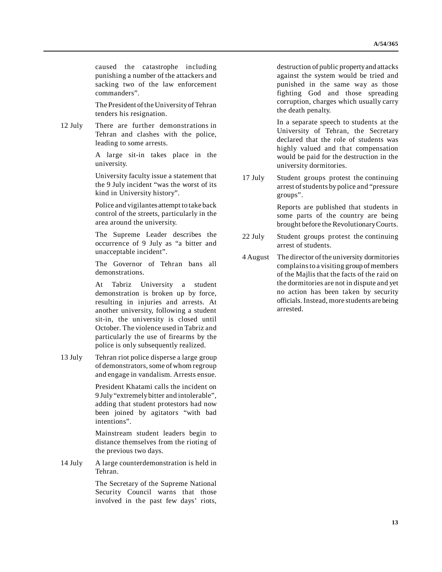caused the catastrophe including punishing a number of the attackers and sacking two of the law enforcement commanders".

The President of the University of Tehran tenders his resignation.

12 July There are further demonstrations in Tehran and clashes with the police, leading to some arrests.

> A large sit-in takes place in the university.

> University faculty issue a statement that the 9 July incident "was the worst of its kind in University history".

> Police and vigilantes attempt to take back control of the streets, particularly in the area around the university.

> The Supreme Leader describes the occurrence of 9 July as "a bitter and unacceptable incident".

> The Governor of Tehran bans all demonstrations.

> At Tabriz University a student demonstration is broken up by force, resulting in injuries and arrests. At another university, following a student sit-in, the university is closed until October. The violence used in Tabriz and particularly the use of firearms by the police is only subsequently realized.

13 July Tehran riot police disperse a large group of demonstrators, some of whom regroup and engage in vandalism. Arrests ensue.

> President Khatami calls the incident on 9 July "extremely bitter and intolerable", adding that student protestors had now been joined by agitators "with bad intentions".

> Mainstream student leaders begin to distance themselves from the rioting of the previous two days.

14 July A large counterdemonstration is held in Tehran.

> The Secretary of the Supreme National Security Council warns that those involved in the past few days' riots,

destruction of public property and attacks against the system would be tried and punished in the same way as those fighting God and those spreading corruption, charges which usually carry the death penalty.

In a separate speech to students at the University of Tehran, the Secretary declared that the role of students was highly valued and that compensation would be paid for the destruction in the university dormitories.

17 July Student groups protest the continuing arrest of students by police and "pressure groups".

> Reports are published that students in some parts of the country are being brought before the Revolutionary Courts.

- 22 July Student groups protest the continuing arrest of students.
- 4 August The director of the university dormitories complains to a visiting group of members of the Majlis that the facts of the raid on the dormitories are not in dispute and yet no action has been taken by security officials. Instead, more students are being arrested.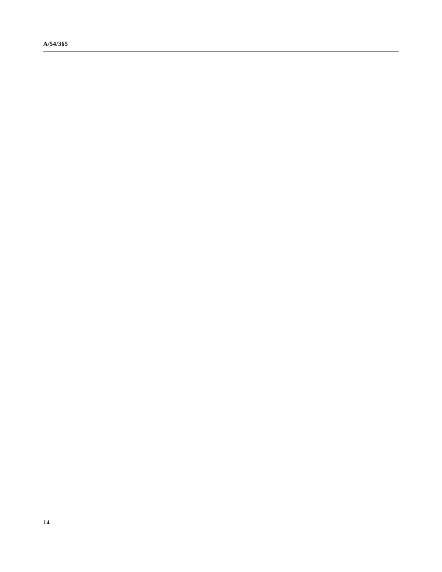**A/54/365**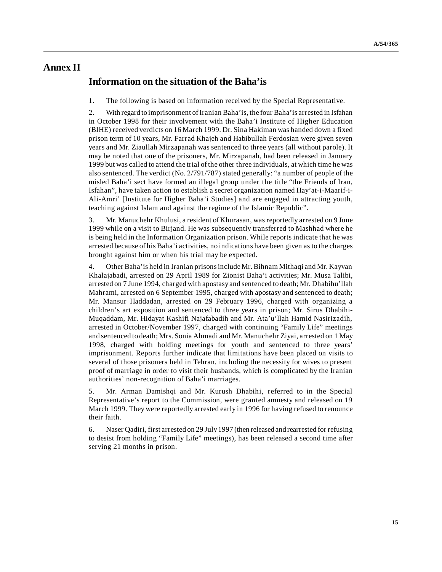## **Annex II**

## **Information on the situation of the Baha'is**

1. The following is based on information received by the Special Representative.

2. With regard to imprisonment of Iranian Baha'is, the four Baha'is arrested in Isfahan in October 1998 for their involvement with the Baha'i Institute of Higher Education (BIHE) received verdicts on 16 March 1999. Dr. Sina Hakiman was handed down a fixed prison term of 10 years, Mr. Farrad Khajeh and Habibullah Ferdosian were given seven years and Mr. Ziaullah Mirzapanah was sentenced to three years (all without parole). It may be noted that one of the prisoners, Mr. Mirzapanah, had been released in January 1999 but was called to attend the trial of the other three individuals, at which time he was also sentenced. The verdict (No. 2/791/787) stated generally: "a number of people of the misled Baha'i sect have formed an illegal group under the title "the Friends of Iran, Isfahan", have taken action to establish a secret organization named Hay'at-i-Maarif-i-Ali-Amri' [Institute for Higher Baha'i Studies] and are engaged in attracting youth, teaching against Islam and against the regime of the Islamic Republic".

3. Mr. Manuchehr Khulusi, a resident of Khurasan, was reportedly arrested on 9 June 1999 while on a visit to Birjand. He was subsequently transferred to Mashhad where he is being held in the Information Organization prison. While reports indicate that he was arrested because of his Baha'i activities, no indications have been given as to the charges brought against him or when his trial may be expected.

4. Other Baha'is held in Iranian prisons include Mr. Bihnam Mithaqi and Mr. Kayvan Khalajabadi, arrested on 29 April 1989 for Zionist Baha'i activities; Mr. Musa Talibi, arrested on 7 June 1994, charged with apostasy and sentenced to death; Mr. Dhabihu'llah Mahrami, arrested on 6 September 1995, charged with apostasy and sentenced to death; Mr. Mansur Haddadan, arrested on 29 February 1996, charged with organizing a children's art exposition and sentenced to three years in prison; Mr. Sirus Dhabihi-Muqaddam, Mr. Hidayat Kashifi Najafabadih and Mr. Ata'u'llah Hamid Nasirizadih, arrested in October/November 1997, charged with continuing "Family Life" meetings and sentenced to death; Mrs. Sonia Ahmadi and Mr. Manuchehr Ziyai, arrested on 1 May 1998, charged with holding meetings for youth and sentenced to three years' imprisonment. Reports further indicate that limitations have been placed on visits to several of those prisoners held in Tehran, including the necessity for wives to present proof of marriage in order to visit their husbands, which is complicated by the Iranian authorities' non-recognition of Baha'i marriages.

5. Mr. Arman Damishqi and Mr. Kurush Dhabihi, referred to in the Special Representative's report to the Commission, were granted amnesty and released on 19 March 1999. They were reportedly arrested early in 1996 for having refused to renounce their faith.

6. Naser Qadiri, first arrested on 29 July 1997 (then released and rearrested for refusing to desist from holding "Family Life" meetings), has been released a second time after serving 21 months in prison.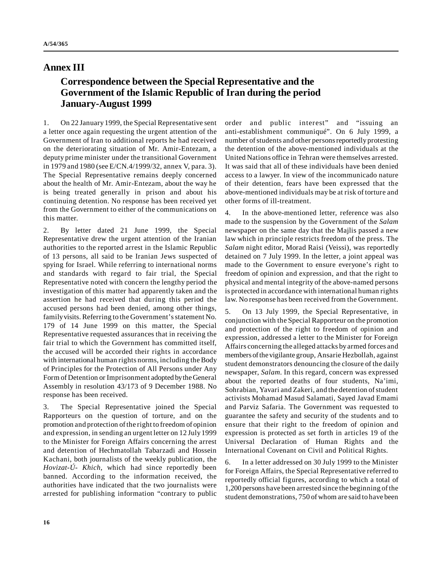# **Annex III**

## **Correspondence between the Special Representative and the Government of the Islamic Republic of Iran during the period January-August 1999**

1. On 22 January 1999, the Special Representative sent a letter once again requesting the urgent attention of the Government of Iran to additional reports he had received on the deteriorating situation of Mr. Amir-Entezam, a deputy prime minister under the transitional Government in 1979 and 1980 (see E/CN.4/1999/32, annex V, para. 3). The Special Representative remains deeply concerned about the health of Mr. Amir-Entezam, about the way he is being treated generally in prison and about his continuing detention. No response has been received yet from the Government to either of the communications on this matter.

2. By letter dated 21 June 1999, the Special Representative drew the urgent attention of the Iranian authorities to the reported arrest in the Islamic Republic of 13 persons, all said to be Iranian Jews suspected of spying for Israel. While referring to international norms and standards with regard to fair trial, the Special Representative noted with concern the lengthy period the investigation of this matter had apparently taken and the assertion he had received that during this period the accused persons had been denied, among other things, family visits. Referring to the Government's statement No. 179 of 14 June 1999 on this matter, the Special Representative requested assurances that in receiving the fair trial to which the Government has committed itself, the accused will be accorded their rights in accordance with international human rights norms, including the Body of Principles for the Protection of All Persons under Any Form of Detention or Imprisonment adopted by the General Assembly in resolution 43/173 of 9 December 1988. No response has been received.

3. The Special Representative joined the Special Rapporteurs on the question of torture, and on the promotion and protection of the right to freedom of opinion and expression, in sending an urgent letter on 12 July 1999 to the Minister for Foreign Affairs concerning the arrest and detention of Hechmatollah Tabarzadi and Hossein Kachani, both journalists of the weekly publication, the *Hovizat-Ú- Khich*, which had since reportedly been banned. According to the information received, the authorities have indicated that the two journalists were arrested for publishing information "contrary to public order and public interest" and "issuing an anti-establishment communiqué". On 6 July 1999, a number of students and other persons reportedly protesting the detention of the above-mentioned individuals at the United Nations office in Tehran were themselves arrested. It was said that all of these individuals have been denied access to a lawyer. In view of the incommunicado nature of their detention, fears have been expressed that the above-mentioned individuals may be at risk of torture and other forms of ill-treatment.

4. In the above-mentioned letter, reference was also made to the suspension by the Government of the *Salam* newspaper on the same day that the Majlis passed a new law which in principle restricts freedom of the press. The *Salam* night editor, Morad Raisi (Veissi), was reportedly detained on 7 July 1999. In the letter, a joint appeal was made to the Government to ensure everyone's right to freedom of opinion and expression, and that the right to physical and mental integrity of the above-named persons is protected in accordance with international human rights law. No response has been received from the Government.

5. On 13 July 1999, the Special Representative, in conjunction with the Special Rapporteur on the promotion and protection of the right to freedom of opinion and expression, addressed a letter to the Minister for Foreign Affairs concerning the alleged attacks by armed forces and members of the vigilante group, Ansarie Hezbollah, against student demonstrators denouncing the closure of the daily newspaper, *Salam*. In this regard, concern was expressed about the reported deaths of four students, Na'imi, Sohrabian, Yavari and Zakeri, and the detention of student activists Mohamad Masud Salamati, Sayed Javad Emami and Parviz Safaria. The Government was requested to guarantee the safety and security of the students and to ensure that their right to the freedom of opinion and expression is protected as set forth in articles 19 of the Universal Declaration of Human Rights and the International Covenant on Civil and Political Rights.

6. In a letter addressed on 30 July 1999 to the Minister for Foreign Affairs, the Special Representative referred to reportedly official figures, according to which a total of 1,200 persons have been arrested since the beginning of the student demonstrations, 750 of whom are said to have been